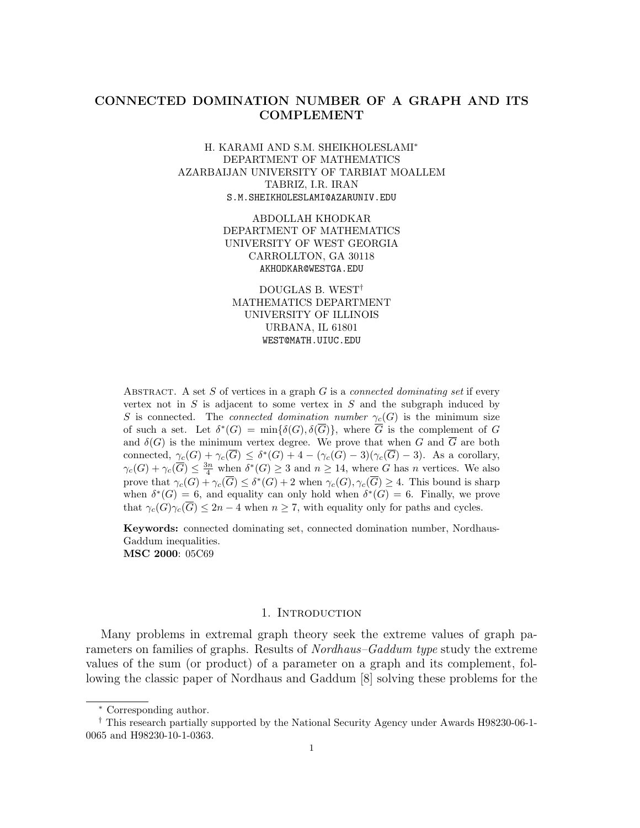## CONNECTED DOMINATION NUMBER OF A GRAPH AND ITS COMPLEMENT

### H. KARAMI AND S.M. SHEIKHOLESLAMI<sup>∗</sup> DEPARTMENT OF MATHEMATICS AZARBAIJAN UNIVERSITY OF TARBIAT MOALLEM TABRIZ, I.R. IRAN S.M.SHEIKHOLESLAMI@AZARUNIV.EDU

ABDOLLAH KHODKAR DEPARTMENT OF MATHEMATICS UNIVERSITY OF WEST GEORGIA CARROLLTON, GA 30118 AKHODKAR@WESTGA.EDU

DOUGLAS B. WEST† MATHEMATICS DEPARTMENT UNIVERSITY OF ILLINOIS URBANA, IL 61801 WEST@MATH.UIUC.EDU

ABSTRACT. A set S of vertices in a graph  $G$  is a *connected dominating set* if every vertex not in  $S$  is adjacent to some vertex in  $S$  and the subgraph induced by S is connected. The *connected domination number*  $\gamma_c(G)$  is the minimum size of such a set. Let  $\delta^*(G) = \min{\{\delta(G), \delta(\overline{G})\}}$ , where  $\overline{G}$  is the complement of G and  $\delta(G)$  is the minimum vertex degree. We prove that when G and  $\overline{G}$  are both connected,  $\gamma_c(G) + \gamma_c(\overline{G}) \leq \delta^*(G) + 4 - (\gamma_c(G) - 3)(\gamma_c(\overline{G}) - 3)$ . As a corollary,  $\gamma_c(G) + \gamma_c(\overline{G}) \leq \frac{3n}{4}$  when  $\delta^*(G) \geq 3$  and  $n \geq 14$ , where G has n vertices. We also prove that  $\gamma_c(G) + \gamma_c(\overline{G}) \leq \delta^*(G) + 2$  when  $\gamma_c(G), \gamma_c(\overline{G}) \geq 4$ . This bound is sharp when  $\delta^*(G) = 6$ , and equality can only hold when  $\delta^*(G) = 6$ . Finally, we prove that  $\gamma_c(G)\gamma_c(\overline{G}) \leq 2n-4$  when  $n \geq 7$ , with equality only for paths and cycles.

Keywords: connected dominating set, connected domination number, Nordhaus-Gaddum inequalities. MSC 2000: 05C69

#### 1. Introduction

Many problems in extremal graph theory seek the extreme values of graph parameters on families of graphs. Results of *Nordhaus–Gaddum type* study the extreme values of the sum (or product) of a parameter on a graph and its complement, following the classic paper of Nordhaus and Gaddum [8] solving these problems for the

<sup>∗</sup> Corresponding author.

<sup>†</sup> This research partially supported by the National Security Agency under Awards H98230-06-1- 0065 and H98230-10-1-0363.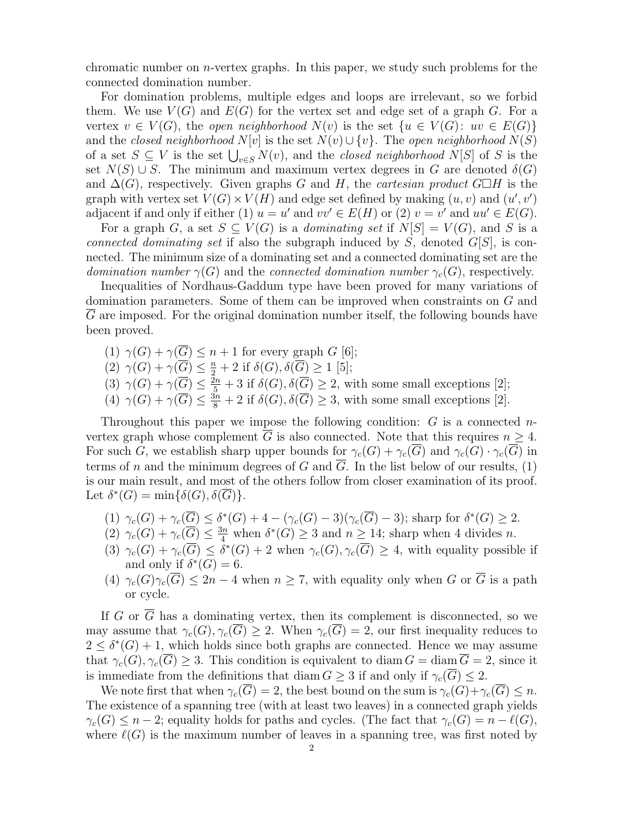chromatic number on  $n$ -vertex graphs. In this paper, we study such problems for the connected domination number.

For domination problems, multiple edges and loops are irrelevant, so we forbid them. We use  $V(G)$  and  $E(G)$  for the vertex set and edge set of a graph G. For a vertex  $v \in V(G)$ , the open neighborhood  $N(v)$  is the set  $\{u \in V(G): uv \in E(G)\}\$ and the closed neighborhood  $N[v]$  is the set  $N(v) \cup \{v\}$ . The open neighborhood  $N(S)$ of a set  $S \subseteq V$  is the set  $\bigcup_{v \in S} N(v)$ , and the *closed neighborhood*  $N[S]$  of S is the set  $N(S) \cup S$ . The minimum and maximum vertex degrees in G are denoted  $\delta(G)$ and  $\Delta(G)$ , respectively. Given graphs G and H, the *cartesian product* G $\Box H$  is the graph with vertex set  $V(G) \times V(H)$  and edge set defined by making  $(u, v)$  and  $(u', v')$ adjacent if and only if either (1)  $u = u'$  and  $vv' \in E(H)$  or (2)  $v = v'$  and  $uu' \in E(G)$ .

For a graph G, a set  $S \subseteq V(G)$  is a *dominating set* if  $N[S] = V(G)$ , and S is a connected dominating set if also the subgraph induced by  $S$ , denoted  $G[S]$ , is connected. The minimum size of a dominating set and a connected dominating set are the domination number  $\gamma(G)$  and the connected domination number  $\gamma_c(G)$ , respectively.

Inequalities of Nordhaus-Gaddum type have been proved for many variations of domination parameters. Some of them can be improved when constraints on G and G are imposed. For the original domination number itself, the following bounds have been proved.

- (1)  $\gamma(G) + \gamma(\overline{G}) \leq n + 1$  for every graph G [6];
- (2)  $\gamma(G) + \gamma(\overline{G}) \leq \frac{n}{2} + 2$  if  $\delta(G), \delta(\overline{G}) \geq 1$  [5];
- (3)  $\gamma(G) + \gamma(\overline{G}) \le \frac{\overline{2}n}{5} + 3$  if  $\delta(G), \delta(\overline{G}) \ge 2$ , with some small exceptions [2];
- (4)  $\gamma(G) + \gamma(\overline{G}) \le \frac{3n}{8} + 2$  if  $\delta(G), \delta(\overline{G}) \ge 3$ , with some small exceptions [2].

Throughout this paper we impose the following condition:  $G$  is a connected nvertex graph whose complement G is also connected. Note that this requires  $n \geq 4$ . For such G, we establish sharp upper bounds for  $\gamma_c(G) + \gamma_c(\overline{G})$  and  $\gamma_c(\overline{G}) \cdot \gamma_c(\overline{G})$  in terms of n and the minimum degrees of G and  $\overline{G}$ . In the list below of our results, (1) is our main result, and most of the others follow from closer examination of its proof. Let  $\delta^*(G) = \min{\{\delta(G), \delta(\overline{G})\}}$ .

- (1)  $\gamma_c(G) + \gamma_c(\overline{G}) \leq \delta^*(G) + 4 (\gamma_c(G) 3)(\gamma_c(\overline{G}) 3)$ ; sharp for  $\delta^*(G) \geq 2$ .
- (2)  $\gamma_c(G) + \gamma_c(\overline{G}) \leq \frac{3n}{4}$  when  $\delta^*(G) \geq 3$  and  $n \geq 14$ ; sharp when 4 divides n.
- (3)  $\gamma_c(G) + \gamma_c(\overline{G}) \leq \overline{\delta^*(G)} + 2$  when  $\gamma_c(G), \gamma_c(\overline{G}) \geq 4$ , with equality possible if and only if  $\delta^*(G) = 6$ .
- (4)  $\gamma_c(G)\gamma_c(\overline{G}) \leq 2n-4$  when  $n \geq 7$ , with equality only when G or  $\overline{G}$  is a path or cycle.

If G or  $\overline{G}$  has a dominating vertex, then its complement is disconnected, so we may assume that  $\gamma_c(G), \gamma_c(\overline{G}) \geq 2$ . When  $\gamma_c(\overline{G}) = 2$ , our first inequality reduces to  $2 \leq \delta^*(G) + 1$ , which holds since both graphs are connected. Hence we may assume that  $\gamma_c(G), \gamma_c(\overline{G}) \geq 3$ . This condition is equivalent to diam  $G = \text{diam }\overline{G} = 2$ , since it is immediate from the definitions that diam  $G \geq 3$  if and only if  $\gamma_c(\overline{G}) \leq 2$ .

We note first that when  $\gamma_c(\overline{G}) = 2$ , the best bound on the sum is  $\gamma_c(G) + \gamma_c(\overline{G}) \leq n$ . The existence of a spanning tree (with at least two leaves) in a connected graph yields  $\gamma_c(G) \leq n-2$ ; equality holds for paths and cycles. (The fact that  $\gamma_c(G) = n - \ell(G)$ , where  $\ell(G)$  is the maximum number of leaves in a spanning tree, was first noted by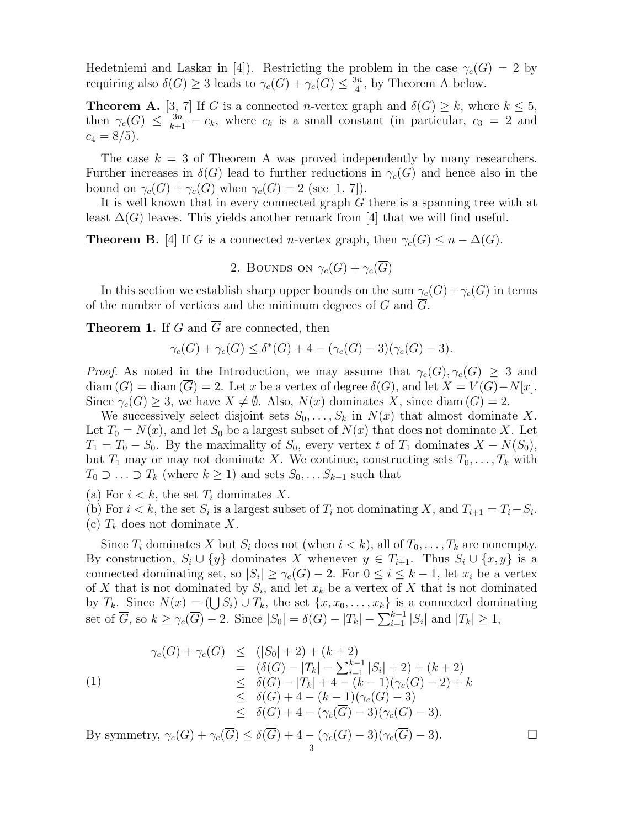Hedetniemi and Laskar in [4]). Restricting the problem in the case  $\gamma_c(\overline{G}) = 2$  by requiring also  $\delta(G) \geq 3$  leads to  $\gamma_c(G) + \gamma_c(\overline{G}) \leq \frac{3n}{4}$  $\frac{3n}{4}$ , by Theorem A below.

**Theorem A.** [3, 7] If G is a connected n-vertex graph and  $\delta(G) \geq k$ , where  $k \leq 5$ , then  $\gamma_c(G) \leq \frac{3n}{k+1} - c_k$ , where  $c_k$  is a small constant (in particular,  $c_3 = 2$  and  $c_4 = 8/5$ .

The case  $k = 3$  of Theorem A was proved independently by many researchers. Further increases in  $\delta(G)$  lead to further reductions in  $\gamma_c(G)$  and hence also in the bound on  $\gamma_c(G) + \gamma_c(\overline{G})$  when  $\gamma_c(\overline{G}) = 2$  (see [1, 7]).

It is well known that in every connected graph G there is a spanning tree with at least  $\Delta(G)$  leaves. This yields another remark from [4] that we will find useful.

**Theorem B.** [4] If G is a connected n-vertex graph, then  $\gamma_c(G) \leq n - \Delta(G)$ .

2. BOUNDS ON  $\gamma_c(G) + \gamma_c(\overline{G})$ 

In this section we establish sharp upper bounds on the sum  $\gamma_c(G)+\gamma_c(\overline{G})$  in terms of the number of vertices and the minimum degrees of G and  $\overline{G}$ .

**Theorem 1.** If G and  $\overline{G}$  are connected, then

$$
\gamma_c(G) + \gamma_c(\overline{G}) \le \delta^*(G) + 4 - (\gamma_c(G) - 3)(\gamma_c(\overline{G}) - 3).
$$

*Proof.* As noted in the Introduction, we may assume that  $\gamma_c(G), \gamma_c(G) \geq 3$  and  $diam(G) = diam(\overline{G}) = 2.$  Let x be a vertex of degree  $\delta(G)$ , and let  $X = V(G) - N[x]$ . Since  $\gamma_c(G) \geq 3$ , we have  $X \neq \emptyset$ . Also,  $N(x)$  dominates X, since diam  $(G) = 2$ .

We successively select disjoint sets  $S_0, \ldots, S_k$  in  $N(x)$  that almost dominate X. Let  $T_0 = N(x)$ , and let  $S_0$  be a largest subset of  $N(x)$  that does not dominate X. Let  $T_1 = T_0 - S_0$ . By the maximality of  $S_0$ , every vertex t of  $T_1$  dominates  $X - N(S_0)$ , but  $T_1$  may or may not dominate X. We continue, constructing sets  $T_0,\ldots,T_k$  with  $T_0 \supset \ldots \supset T_k$  (where  $k \geq 1$ ) and sets  $S_0, \ldots S_{k-1}$  such that

(a) For  $i < k$ , the set  $T_i$  dominates X.

(b) For  $i < k$ , the set  $S_i$  is a largest subset of  $T_i$  not dominating X, and  $T_{i+1} = T_i - S_i$ .

(c)  $T_k$  does not dominate X.

Since  $T_i$  dominates X but  $S_i$  does not (when  $i < k$ ), all of  $T_0, \ldots, T_k$  are nonempty. By construction,  $S_i \cup \{y\}$  dominates X whenever  $y \in T_{i+1}$ . Thus  $S_i \cup \{x, y\}$  is a connected dominating set, so  $|S_i| \geq \gamma_c(G) - 2$ . For  $0 \leq i \leq k - 1$ , let  $x_i$  be a vertex of X that is not dominated by  $S_i$ , and let  $x_k$  be a vertex of X that is not dominated by  $T_k$ . Since  $N(x) = (\bigcup S_i) \cup T_k$ , the set  $\{x, x_0, \ldots, x_k\}$  is a connected dominating set of  $\overline{G}$ , so  $k \ge \gamma_c(\overline{G}) - 2$ . Since  $|S_0| = \delta(\overline{G}) - |T_k| - \sum_{i=1}^{k-1} |S_i|$  and  $|T_k| \ge 1$ ,

$$
\gamma_c(G) + \gamma_c(\overline{G}) \le (|S_0| + 2) + (k+2)
$$
  
\n
$$
= (\delta(G) - |T_k| - \sum_{i=1}^{k-1} |S_i| + 2) + (k+2)
$$
  
\n
$$
\le \delta(G) - |T_k| + 4 - (k-1)(\gamma_c(G) - 2) + k
$$
  
\n
$$
\le \delta(G) + 4 - (k-1)(\gamma_c(G) - 3)
$$
  
\n
$$
\le \delta(G) + 4 - (\gamma_c(\overline{G}) - 3)(\gamma_c(G) - 3).
$$

By symmetry,  $\gamma_c(G) + \gamma_c(\overline{G}) \le \delta(\overline{G}) + 4 - (\gamma_c(G) - 3)(\gamma_c(\overline{G}) - 3).$ 3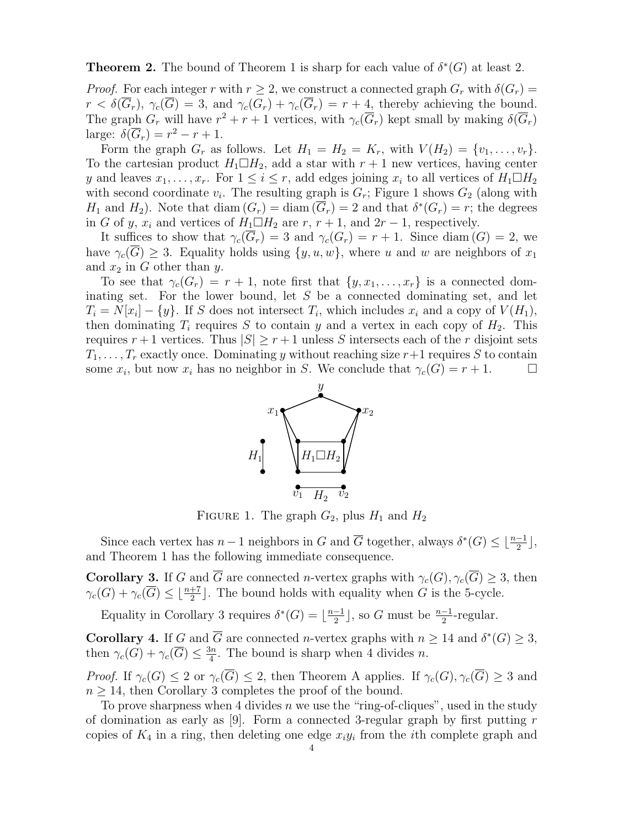**Theorem 2.** The bound of Theorem 1 is sharp for each value of  $\delta^*(G)$  at least 2.

*Proof.* For each integer r with  $r \geq 2$ , we construct a connected graph  $G_r$  with  $\delta(G_r)$  =  $r < \delta(\overline{G}_r)$ ,  $\gamma_c(\overline{G}) = 3$ , and  $\gamma_c(G_r) + \gamma_c(\overline{G}_r) = r + 4$ , thereby achieving the bound. The graph  $G_r$  will have  $r^2 + r + 1$  vertices, with  $\gamma_c(\overline{G}_r)$  kept small by making  $\delta(\overline{G}_r)$ large:  $\delta(\overline{G}_r) = r^2 - r + 1$ .

Form the graph  $G_r$  as follows. Let  $H_1 = H_2 = K_r$ , with  $V(H_2) = \{v_1, \ldots, v_r\}$ . To the cartesian product  $H_1 \square H_2$ , add a star with  $r + 1$  new vertices, having center y and leaves  $x_1, \ldots, x_r$ . For  $1 \leq i \leq r$ , add edges joining  $x_i$  to all vertices of  $H_1 \square H_2$ with second coordinate  $v_i$ . The resulting graph is  $G_r$ ; Figure 1 shows  $G_2$  (along with  $H_1$  and  $H_2$ ). Note that diam  $(G_r) = \text{diam}(\overline{G}_r) = 2$  and that  $\delta^*(G_r) = r$ ; the degrees in G of y,  $x_i$  and vertices of  $H_1 \Box H_2$  are  $r, r+1$ , and  $2r-1$ , respectively.

It suffices to show that  $\gamma_c(\overline{G}_r) = 3$  and  $\gamma_c(G_r) = r + 1$ . Since diam  $(G) = 2$ , we have  $\gamma_c(G) \geq 3$ . Equality holds using  $\{y, u, w\}$ , where u and w are neighbors of  $x_1$ and  $x_2$  in G other than y.

To see that  $\gamma_c(G_r) = r + 1$ , note first that  $\{y, x_1, \ldots, x_r\}$  is a connected dominating set. For the lower bound, let S be a connected dominating set, and let  $T_i = N[x_i] - \{y\}$ . If S does not intersect  $T_i$ , which includes  $x_i$  and a copy of  $V(H_1)$ , then dominating  $T_i$  requires S to contain y and a vertex in each copy of  $H_2$ . This requires  $r + 1$  vertices. Thus  $|S| \geq r + 1$  unless S intersects each of the r disjoint sets  $T_1,\ldots,T_r$  exactly once. Dominating y without reaching size  $r+1$  requires S to contain some  $x_i$ , but now  $x_i$  has no neighbor in S. We conclude that  $\gamma_c(G) = r + 1$ .



FIGURE 1. The graph  $G_2$ , plus  $H_1$  and  $H_2$ 

Since each vertex has  $n-1$  neighbors in G and  $\overline{G}$  together, always  $\delta^*(G) \leq \lfloor \frac{n-1}{2} \rfloor$ , and Theorem 1 has the following immediate consequence.

**Corollary 3.** If G and G are connected n-vertex graphs with  $\gamma_c(G), \gamma_c(G) \geq 3$ , then  $\gamma_c(G) + \gamma_c(\overline{G}) \leq \lfloor \frac{n+7}{2} \rfloor$ . The bound holds with equality when G is the 5-cycle.

Equality in Corollary 3 requires  $\delta^*(G) = \lfloor \frac{n-1}{2} \rfloor$  $\frac{-1}{2}$ , so G must be  $\frac{n-1}{2}$ -regular.

**Corollary 4.** If G and  $\overline{G}$  are connected n-vertex graphs with  $n \geq 14$  and  $\delta^*(G) \geq 3$ , then  $\gamma_c(G) + \gamma_c(\overline{G}) \leq \frac{3n}{4}$  $\frac{3n}{4}$ . The bound is sharp when 4 divides *n*.

*Proof.* If  $\gamma_c(G) \leq 2$  or  $\gamma_c(\overline{G}) \leq 2$ , then Theorem A applies. If  $\gamma_c(G), \gamma_c(\overline{G}) \geq 3$  and  $n \geq 14$ , then Corollary 3 completes the proof of the bound.

To prove sharpness when 4 divides n we use the "ring-of-cliques", used in the study of domination as early as  $[9]$ . Form a connected 3-regular graph by first putting r copies of  $K_4$  in a ring, then deleting one edge  $x_i y_i$  from the *i*th complete graph and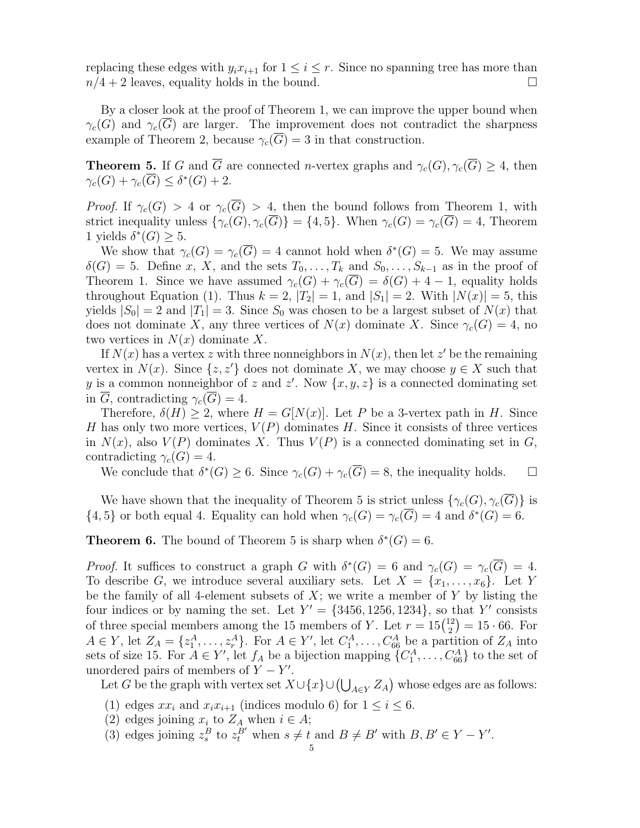replacing these edges with  $y_i x_{i+1}$  for  $1 \leq i \leq r$ . Since no spanning tree has more than  $n/4 + 2$  leaves, equality holds in the bound.  $\Box$ 

By a closer look at the proof of Theorem 1, we can improve the upper bound when  $\gamma_c(G)$  and  $\gamma_c(G)$  are larger. The improvement does not contradict the sharpness example of Theorem 2, because  $\gamma_c(\overline{G}) = 3$  in that construction.

**Theorem 5.** If G and  $\overline{G}$  are connected n-vertex graphs and  $\gamma_c(G), \gamma_c(\overline{G}) \geq 4$ , then  $\gamma_c(G) + \gamma_c(\overline{G}) \leq \delta^*(G) + 2.$ 

*Proof.* If  $\gamma_c(G) > 4$  or  $\gamma_c(\overline{G}) > 4$ , then the bound follows from Theorem 1, with strict inequality unless  $\{\gamma_c(G),\gamma_c(\overline{G})\} = \{4,5\}$ . When  $\gamma_c(G) = \gamma_c(\overline{G}) = 4$ , Theorem 1 yields  $\delta^*(G) \geq 5$ .

We show that  $\gamma_c(G) = \gamma_c(\overline{G}) = 4$  cannot hold when  $\delta^*(G) = 5$ . We may assume  $\delta(G) = 5$ . Define x, X, and the sets  $T_0, \ldots, T_k$  and  $S_0, \ldots, S_{k-1}$  as in the proof of Theorem 1. Since we have assumed  $\gamma_c(G) + \gamma_c(\overline{G}) = \delta(G) + 4 - 1$ , equality holds throughout Equation (1). Thus  $k = 2$ ,  $|T_2| = 1$ , and  $|S_1| = 2$ . With  $|N(x)| = 5$ , this yields  $|S_0| = 2$  and  $|T_1| = 3$ . Since  $S_0$  was chosen to be a largest subset of  $N(x)$  that does not dominate X, any three vertices of  $N(x)$  dominate X. Since  $\gamma_c(G) = 4$ , no two vertices in  $N(x)$  dominate X.

If  $N(x)$  has a vertex z with three nonneighbors in  $N(x)$ , then let z' be the remaining vertex in  $N(x)$ . Since  $\{z, z'\}$  does not dominate X, we may choose  $y \in X$  such that y is a common nonneighbor of z and z'. Now  $\{x, y, z\}$  is a connected dominating set in  $\overline{G}$ , contradicting  $\gamma_c(\overline{G})=4$ .

Therefore,  $\delta(H) \geq 2$ , where  $H = G[N(x)]$ . Let P be a 3-vertex path in H. Since H has only two more vertices,  $V(P)$  dominates H. Since it consists of three vertices in  $N(x)$ , also  $V(P)$  dominates X. Thus  $V(P)$  is a connected dominating set in G, contradicting  $\gamma_c(G) = 4$ .

We conclude that  $\delta^*(G) \geq 6$ . Since  $\gamma_c(G) + \gamma_c(\overline{G}) = 8$ , the inequality holds.  $\Box$ 

We have shown that the inequality of Theorem 5 is strict unless  $\{\gamma_c(G), \gamma_c(\overline{G})\}$  is  $\{4,5\}$  or both equal 4. Equality can hold when  $\gamma_c(G) = \gamma_c(\overline{G}) = 4$  and  $\delta^*(G) = 6$ .

**Theorem 6.** The bound of Theorem 5 is sharp when  $\delta^*(G) = 6$ .

Proof. It suffices to construct a graph G with  $\delta^*(G) = 6$  and  $\gamma_c(G) = \gamma_c(\overline{G}) = 4$ . To describe G, we introduce several auxiliary sets. Let  $X = \{x_1, \ldots, x_6\}$ . Let Y be the family of all 4-element subsets of  $X$ ; we write a member of  $Y$  by listing the four indices or by naming the set. Let  $Y' = \{3456, 1256, 1234\}$ , so that Y' consists of three special members among the 15 members of Y. Let  $r = 15\binom{12}{2}$  $\binom{12}{2} = 15 \cdot 66.$  For  $A \in Y$ , let  $Z_A = \{z_1^A, \ldots, z_r^A\}$ . For  $A \in Y'$ , let  $C_1^A, \ldots, C_{66}^A$  be a partition of  $Z_A$  into sets of size 15. For  $A \in Y'$ , let  $f_A$  be a bijection mapping  ${C_1^A, \ldots, C_{66}^A}$  to the set of unordered pairs of members of  $Y - Y'$ .

Let G be the graph with vertex set  $X \cup \{x\} \cup (\bigcup_{A \in Y} Z_A)$  whose edges are as follows:

- (1) edges  $xx_i$  and  $x_ix_{i+1}$  (indices modulo 6) for  $1 \leq i \leq 6$ .
- (2) edges joining  $x_i$  to  $Z_A$  when  $i \in A$ ;
- (3) edges joining  $z_s^B$  to  $z_t^B'$  when  $s \neq t$  and  $B \neq B'$  with  $B, B' \in Y Y'$ .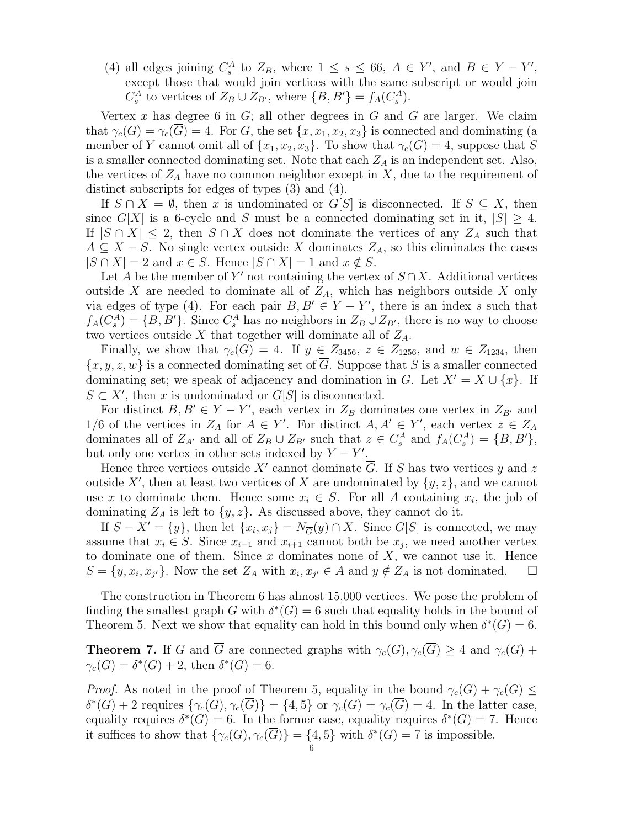(4) all edges joining  $C_s^A$  to  $Z_B$ , where  $1 \leq s \leq 66$ ,  $A \in Y'$ , and  $B \in Y - Y'$ , except those that would join vertices with the same subscript or would join  $C_s^A$  to vertices of  $Z_B \cup Z_{B'}$ , where  $\{B, B'\} = f_A(C_s^A)$ .

Vertex x has degree 6 in G; all other degrees in G and  $\overline{G}$  are larger. We claim that  $\gamma_c(G) = \gamma_c(\overline{G}) = 4$ . For G, the set  $\{x, x_1, x_2, x_3\}$  is connected and dominating (a member of Y cannot omit all of  $\{x_1, x_2, x_3\}$ . To show that  $\gamma_c(G) = 4$ , suppose that S is a smaller connected dominating set. Note that each  $Z_A$  is an independent set. Also, the vertices of  $Z_A$  have no common neighbor except in X, due to the requirement of distinct subscripts for edges of types (3) and (4).

If  $S \cap X = \emptyset$ , then x is undominated or  $G[S]$  is disconnected. If  $S \subseteq X$ , then since  $G[X]$  is a 6-cycle and S must be a connected dominating set in it,  $|S| \geq 4$ . If  $|S \cap X| \leq 2$ , then  $S \cap X$  does not dominate the vertices of any  $Z_A$  such that  $A \subseteq X - S$ . No single vertex outside X dominates  $Z_A$ , so this eliminates the cases  $|S \cap X| = 2$  and  $x \in S$ . Hence  $|S \cap X| = 1$  and  $x \notin S$ .

Let A be the member of Y' not containing the vertex of  $S \cap X$ . Additional vertices outside X are needed to dominate all of  $Z_A$ , which has neighbors outside X only via edges of type (4). For each pair  $B, B' \in Y - Y'$ , there is an index s such that  $f_A(C_s^A) = \{B, B'\}.$  Since  $C_s^A$  has no neighbors in  $Z_B \cup Z_{B'}$ , there is no way to choose two vertices outside  $X$  that together will dominate all of  $Z_A$ .

Finally, we show that  $\gamma_c(G) = 4$ . If  $y \in Z_{3456}$ ,  $z \in Z_{1256}$ , and  $w \in Z_{1234}$ , then  ${x, y, z, w}$  is a connected dominating set of  $\overline{G}$ . Suppose that S is a smaller connected dominating set; we speak of adjacency and domination in  $\overline{G}$ . Let  $X' = X \cup \{x\}$ . If  $S \subset X'$ , then x is undominated or  $\overline{G}[S]$  is disconnected.

For distinct  $B, B' \in Y - Y'$ , each vertex in  $Z_B$  dominates one vertex in  $Z_{B'}$  and 1/6 of the vertices in  $Z_A$  for  $A \in Y'$ . For distinct  $A, A' \in Y'$ , each vertex  $z \in Z_A$ dominates all of  $Z_{A'}$  and all of  $Z_B \cup Z_{B'}$  such that  $z \in C_s^A$  and  $f_A(C_s^A) = \{B, B'\},\$ but only one vertex in other sets indexed by  $Y - Y'$ .

Hence three vertices outside X' cannot dominate  $\overline{G}$ . If S has two vertices y and z outside X', then at least two vertices of X are undominated by  $\{y, z\}$ , and we cannot use x to dominate them. Hence some  $x_i \in S$ . For all A containing  $x_i$ , the job of dominating  $Z_A$  is left to  $\{y, z\}$ . As discussed above, they cannot do it.

If  $S - X' = \{y\}$ , then let  $\{x_i, x_j\} = N_{\overline{G}}(y) \cap X$ . Since  $\overline{G}[S]$  is connected, we may assume that  $x_i \in S$ . Since  $x_{i-1}$  and  $x_{i+1}$  cannot both be  $x_j$ , we need another vertex to dominate one of them. Since  $x$  dominates none of  $X$ , we cannot use it. Hence  $S = \{y, x_i, x_{j'}\}.$  Now the set  $Z_A$  with  $x_i, x_{j'} \in A$  and  $y \notin Z_A$  is not dominated.  $\square$ 

The construction in Theorem 6 has almost 15,000 vertices. We pose the problem of finding the smallest graph G with  $\delta^*(G) = 6$  such that equality holds in the bound of Theorem 5. Next we show that equality can hold in this bound only when  $\delta^*(G) = 6$ .

**Theorem 7.** If G and  $\overline{G}$  are connected graphs with  $\gamma_c(G), \gamma_c(\overline{G}) \geq 4$  and  $\gamma_c(G)$  +  $\gamma_c(\overline{G}) = \delta^*(G) + 2$ , then  $\delta^*(G) = 6$ .

*Proof.* As noted in the proof of Theorem 5, equality in the bound  $\gamma_c(G) + \gamma_c(\overline{G}) \leq$  $\delta^*(G) + 2$  requires  $\{\gamma_c(G), \gamma_c(\overline{G})\} = \{4, 5\}$  or  $\gamma_c(G) = \gamma_c(\overline{G}) = 4$ . In the latter case, equality requires  $\delta^*(G) = 6$ . In the former case, equality requires  $\delta^*(G) = 7$ . Hence it suffices to show that  $\{\gamma_c(G), \gamma_c(\overline{G})\} = \{4, 5\}$  with  $\delta^*(G) = 7$  is impossible.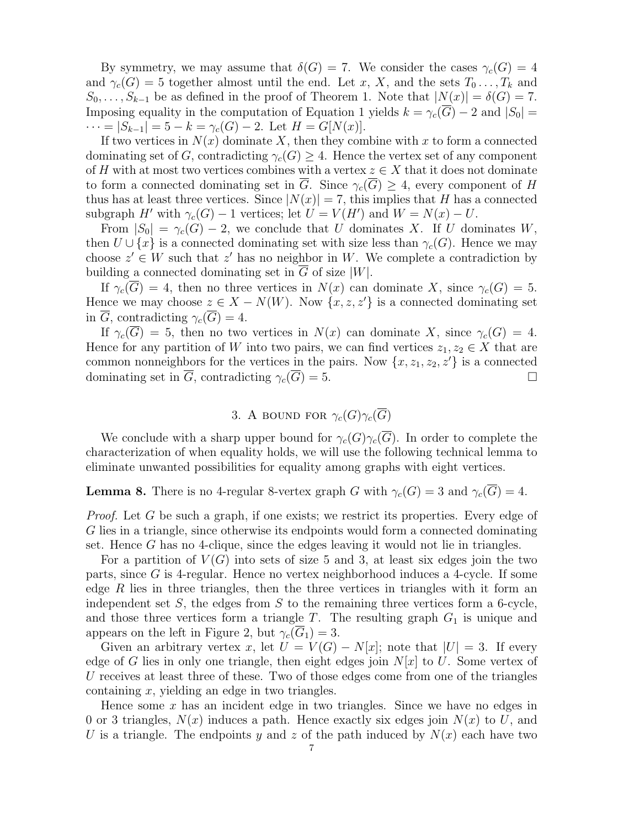By symmetry, we may assume that  $\delta(G) = 7$ . We consider the cases  $\gamma_c(G) = 4$ and  $\gamma_c(G) = 5$  together almost until the end. Let x, X, and the sets  $T_0 \ldots, T_k$  and  $S_0, \ldots, S_{k-1}$  be as defined in the proof of Theorem 1. Note that  $|N(x)| = \delta(G) = 7$ . Imposing equality in the computation of Equation 1 yields  $k = \gamma_c(\overline{G}) - 2$  and  $|S_0|$  =  $\cdots = |S_{k-1}| = 5 - k = \gamma_c(G) - 2.$  Let  $H = G[N(x)].$ 

If two vertices in  $N(x)$  dominate X, then they combine with x to form a connected dominating set of G, contradicting  $\gamma_c(G) \geq 4$ . Hence the vertex set of any component of H with at most two vertices combines with a vertex  $z \in X$  that it does not dominate to form a connected dominating set in  $\overline{G}$ . Since  $\gamma_c(\overline{G}) \geq 4$ , every component of H thus has at least three vertices. Since  $|N(x)| = 7$ , this implies that H has a connected subgraph H' with  $\gamma_c(G) - 1$  vertices; let  $U = V(H')$  and  $W = N(x) - U$ .

From  $|S_0| = \gamma_c(G) - 2$ , we conclude that U dominates X. If U dominates W, then  $U \cup \{x\}$  is a connected dominating set with size less than  $\gamma_c(G)$ . Hence we may choose  $z' \in W$  such that  $z'$  has no neighbor in W. We complete a contradiction by building a connected dominating set in  $\overline{G}$  of size |W|.

If  $\gamma_c(\overline{G}) = 4$ , then no three vertices in  $N(x)$  can dominate X, since  $\gamma_c(G) = 5$ . Hence we may choose  $z \in X - N(W)$ . Now  $\{x, z, z'\}$  is a connected dominating set in  $\overline{G}$ , contradicting  $\gamma_c(\overline{G}) = 4$ .

If  $\gamma_c(\overline{G}) = 5$ , then no two vertices in  $N(x)$  can dominate X, since  $\gamma_c(G) = 4$ . Hence for any partition of W into two pairs, we can find vertices  $z_1, z_2 \in X$  that are common nonneighbors for the vertices in the pairs. Now  $\{x, z_1, z_2, z'\}$  is a connected dominating set in  $\overline{G}$ , contradicting  $\gamma_c(\overline{G}) = 5$ .

# 3. A BOUND FOR  $\gamma_c(G)\gamma_c(\overline{G})$

We conclude with a sharp upper bound for  $\gamma_c(G)\gamma_c(\overline{G})$ . In order to complete the characterization of when equality holds, we will use the following technical lemma to eliminate unwanted possibilities for equality among graphs with eight vertices.

**Lemma 8.** There is no 4-regular 8-vertex graph G with  $\gamma_c(G) = 3$  and  $\gamma_c(\overline{G}) = 4$ .

Proof. Let G be such a graph, if one exists; we restrict its properties. Every edge of G lies in a triangle, since otherwise its endpoints would form a connected dominating set. Hence G has no 4-clique, since the edges leaving it would not lie in triangles.

For a partition of  $V(G)$  into sets of size 5 and 3, at least six edges join the two parts, since G is 4-regular. Hence no vertex neighborhood induces a 4-cycle. If some edge  $R$  lies in three triangles, then the three vertices in triangles with it form an independent set  $S$ , the edges from  $S$  to the remaining three vertices form a 6-cycle, and those three vertices form a triangle  $T$ . The resulting graph  $G_1$  is unique and appears on the left in Figure 2, but  $\gamma_c(\overline{G}_1) = 3$ .

Given an arbitrary vertex x, let  $U = V(G) - N[x]$ ; note that  $|U| = 3$ . If every edge of G lies in only one triangle, then eight edges join  $N[x]$  to U. Some vertex of U receives at least three of these. Two of those edges come from one of the triangles containing  $x$ , yielding an edge in two triangles.

Hence some  $x$  has an incident edge in two triangles. Since we have no edges in 0 or 3 triangles,  $N(x)$  induces a path. Hence exactly six edges join  $N(x)$  to U, and U is a triangle. The endpoints y and z of the path induced by  $N(x)$  each have two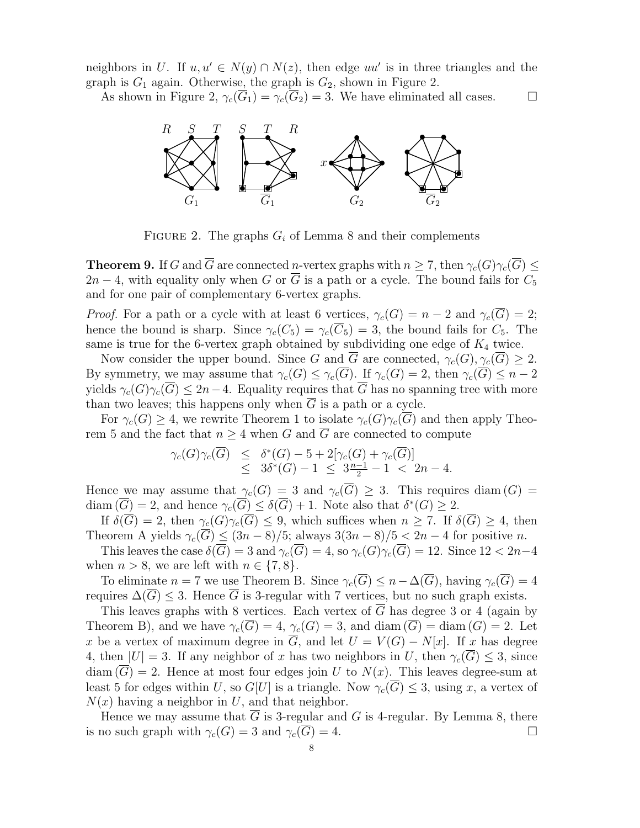neighbors in U. If  $u, u' \in N(y) \cap N(z)$ , then edge  $uu'$  is in three triangles and the graph is  $G_1$  again. Otherwise, the graph is  $G_2$ , shown in Figure 2.

As shown in Figure 2,  $\gamma_c(G_1) = \gamma_c(G_2) = 3$ . We have eliminated all cases.  $\Box$ 



FIGURE 2. The graphs  $G_i$  of Lemma 8 and their complements

**Theorem 9.** If G and  $\overline{G}$  are connected n-vertex graphs with  $n \geq 7$ , then  $\gamma_c(G)\gamma_c(\overline{G}) \leq$  $2n-4$ , with equality only when G or  $\overline{G}$  is a path or a cycle. The bound fails for  $C_5$ and for one pair of complementary 6-vertex graphs.

*Proof.* For a path or a cycle with at least 6 vertices,  $\gamma_c(G) = n - 2$  and  $\gamma_c(\overline{G}) = 2$ ; hence the bound is sharp. Since  $\gamma_c(C_5) = \gamma_c(\overline{C}_5) = 3$ , the bound fails for  $C_5$ . The same is true for the 6-vertex graph obtained by subdividing one edge of  $K_4$  twice.

Now consider the upper bound. Since G and  $\overline{G}$  are connected,  $\gamma_c(G), \gamma_c(\overline{G}) \geq 2$ . By symmetry, we may assume that  $\gamma_c(G) \leq \gamma_c(\overline{G})$ . If  $\gamma_c(G) = 2$ , then  $\gamma_c(\overline{G}) \leq n-2$ yields  $\gamma_c(G)\gamma_c(\overline{G}) \leq 2n-4$ . Equality requires that  $\overline{G}$  has no spanning tree with more than two leaves; this happens only when  $\overline{G}$  is a path or a cycle.

For  $\gamma_c(G) \geq 4$ , we rewrite Theorem 1 to isolate  $\gamma_c(G)\gamma_c(\overline{G})$  and then apply Theorem 5 and the fact that  $n \geq 4$  when G and  $\overline{G}$  are connected to compute

$$
\gamma_c(G)\gamma_c(\overline{G}) \leq \delta^*(G) - 5 + 2[\gamma_c(G) + \gamma_c(\overline{G})] \leq 3\delta^*(G) - 1 \leq 3\frac{n-1}{2} - 1 < 2n - 4.
$$

Hence we may assume that  $\gamma_c(G) = 3$  and  $\gamma_c(\overline{G}) \geq 3$ . This requires diam  $(G) =$ diam  $(\overline{G}) = 2$ , and hence  $\gamma_c(\overline{G}) \le \delta(\overline{G}) + 1$ . Note also that  $\delta^*(G) \ge 2$ .

If  $\delta(\overline{G}) = 2$ , then  $\gamma_c(G)\gamma_c(\overline{G}) \leq 9$ , which suffices when  $n \geq 7$ . If  $\delta(\overline{G}) \geq 4$ , then Theorem A yields  $\gamma_c(\overline{G}) \leq (3n-8)/5$ ; always  $3(3n-8)/5 < 2n-4$  for positive n.

This leaves the case  $\delta(\overline{G}) = 3$  and  $\gamma_c(\overline{G}) = 4$ , so  $\gamma_c(G)\gamma_c(\overline{G}) = 12$ . Since  $12 < 2n-4$ when  $n > 8$ , we are left with  $n \in \{7, 8\}$ .

To eliminate  $n = 7$  we use Theorem B. Since  $\gamma_c(\overline{G}) \leq n - \Delta(\overline{G})$ , having  $\gamma_c(\overline{G}) = 4$ requires  $\Delta(\overline{G}) \leq 3$ . Hence  $\overline{G}$  is 3-regular with 7 vertices, but no such graph exists.

This leaves graphs with 8 vertices. Each vertex of  $\overline{G}$  has degree 3 or 4 (again by Theorem B), and we have  $\gamma_c(\overline{G}) = 4$ ,  $\gamma_c(G) = 3$ , and diam  $(\overline{G}) = \text{diam}(G) = 2$ . Let x be a vertex of maximum degree in  $\overline{G}$ , and let  $U = V(G) - N[x]$ . If x has degree 4, then  $|U| = 3$ . If any neighbor of x has two neighbors in U, then  $\gamma_c(\overline{G}) \leq 3$ , since  $diam(\overline{G}) = 2$ . Hence at most four edges join U to  $N(x)$ . This leaves degree-sum at least 5 for edges within U, so  $G[U]$  is a triangle. Now  $\gamma_c(\overline{G}) \leq 3$ , using x, a vertex of  $N(x)$  having a neighbor in U, and that neighbor.

Hence we may assume that  $\overline{G}$  is 3-regular and G is 4-regular. By Lemma 8, there is no such graph with  $\gamma_c(G) = 3$  and  $\gamma_c(\overline{G}) = 4$ .